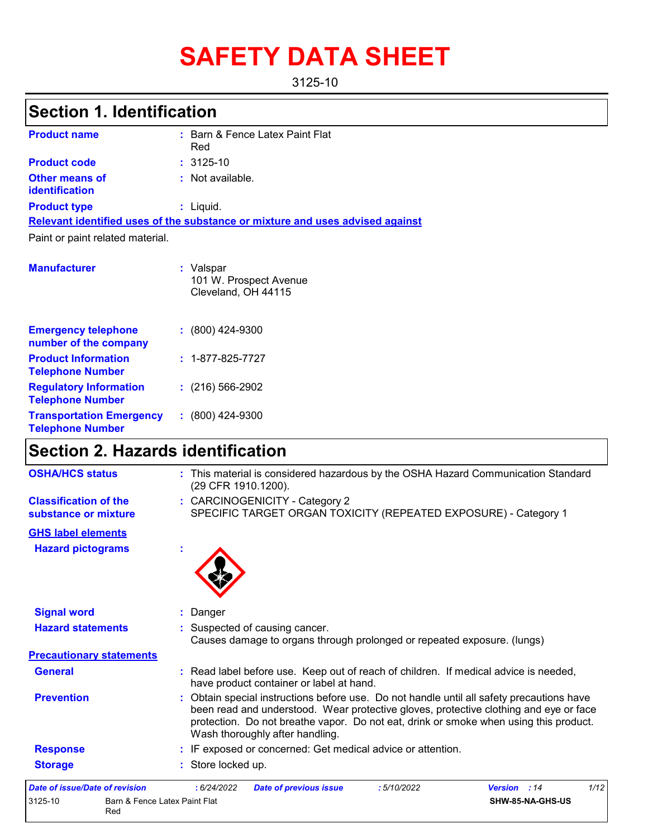# **SAFETY DATA SHEET**

3125-10

# **Section 1. Identification**

| <b>Product name</b>                            | : Barn & Fence Latex Paint Flat<br>Red                                        |
|------------------------------------------------|-------------------------------------------------------------------------------|
| <b>Product code</b>                            | $: 3125 - 10$                                                                 |
| <b>Other means of</b><br><b>identification</b> | : Not available.                                                              |
| <b>Product type</b>                            | $:$ Liquid.                                                                   |
|                                                | Relevant identified uses of the substance or mixture and uses advised against |
| Paint or paint related material.               |                                                                               |
| <b>Manufacturer</b>                            | : Valspar<br>101 W. Prospect Avenue                                           |

| Cleveland, OH 44115      |
|--------------------------|
| $: (800)$ 424-9300       |
| $: 1 - 877 - 825 - 7727$ |
| $: (216) 566 - 2902$     |
| $: (800)$ 424-9300       |
|                          |

### **Section 2. Hazards identification**

Red

| 3125-10<br>Barn & Fence Latex Paint Flat             | SHW-85-NA-GHS-US                                                                                                                                                                                                                                                                                               |
|------------------------------------------------------|----------------------------------------------------------------------------------------------------------------------------------------------------------------------------------------------------------------------------------------------------------------------------------------------------------------|
| <b>Date of issue/Date of revision</b>                | 1/12<br>:6/24/2022<br><b>Date of previous issue</b><br>:5/10/2022<br><b>Version</b> : 14                                                                                                                                                                                                                       |
| <b>Storage</b>                                       | : Store locked up.                                                                                                                                                                                                                                                                                             |
| <b>Response</b>                                      | : IF exposed or concerned: Get medical advice or attention.                                                                                                                                                                                                                                                    |
| <b>Prevention</b>                                    | : Obtain special instructions before use. Do not handle until all safety precautions have<br>been read and understood. Wear protective gloves, protective clothing and eye or face<br>protection. Do not breathe vapor. Do not eat, drink or smoke when using this product.<br>Wash thoroughly after handling. |
| <b>General</b>                                       | : Read label before use. Keep out of reach of children. If medical advice is needed,<br>have product container or label at hand.                                                                                                                                                                               |
| <b>Precautionary statements</b>                      |                                                                                                                                                                                                                                                                                                                |
|                                                      | Causes damage to organs through prolonged or repeated exposure. (lungs)                                                                                                                                                                                                                                        |
| <b>Hazard statements</b>                             | : Suspected of causing cancer.                                                                                                                                                                                                                                                                                 |
| <b>Signal word</b>                                   | : Danger                                                                                                                                                                                                                                                                                                       |
| <b>Hazard pictograms</b>                             |                                                                                                                                                                                                                                                                                                                |
| <b>GHS label elements</b>                            |                                                                                                                                                                                                                                                                                                                |
| <b>Classification of the</b><br>substance or mixture | : CARCINOGENICITY - Category 2<br>SPECIFIC TARGET ORGAN TOXICITY (REPEATED EXPOSURE) - Category 1                                                                                                                                                                                                              |
| <b>OSHA/HCS status</b>                               | : This material is considered hazardous by the OSHA Hazard Communication Standard<br>(29 CFR 1910.1200).                                                                                                                                                                                                       |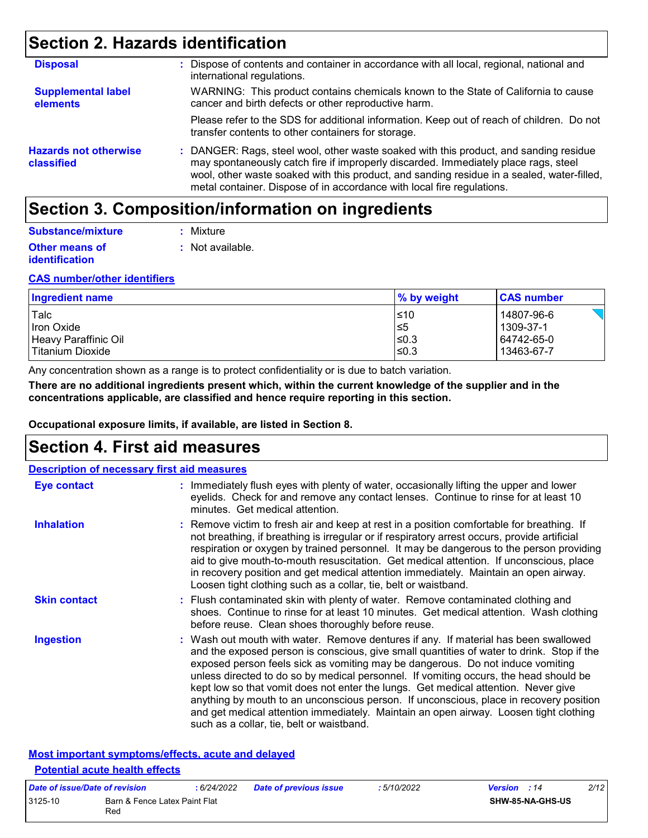### **Section 2. Hazards identification**

| <b>Disposal</b>                            | Dispose of contents and container in accordance with all local, regional, national and<br>international regulations.                                                                                                                                                                                                                                 |
|--------------------------------------------|------------------------------------------------------------------------------------------------------------------------------------------------------------------------------------------------------------------------------------------------------------------------------------------------------------------------------------------------------|
| <b>Supplemental label</b><br>elements      | WARNING: This product contains chemicals known to the State of California to cause<br>cancer and birth defects or other reproductive harm.                                                                                                                                                                                                           |
|                                            | Please refer to the SDS for additional information. Keep out of reach of children. Do not<br>transfer contents to other containers for storage.                                                                                                                                                                                                      |
| <b>Hazards not otherwise</b><br>classified | : DANGER: Rags, steel wool, other waste soaked with this product, and sanding residue<br>may spontaneously catch fire if improperly discarded. Immediately place rags, steel<br>wool, other waste soaked with this product, and sanding residue in a sealed, water-filled,<br>metal container. Dispose of in accordance with local fire regulations. |

### **Section 3. Composition/information on ingredients**

| Substance/mixture     | : Mixture        |
|-----------------------|------------------|
| <b>Other means of</b> | : Not available. |
| <i>identification</i> |                  |

#### **CAS number/other identifiers**

| <b>Ingredient name</b> | % by weight | <b>CAS number</b> |
|------------------------|-------------|-------------------|
| Talc                   | l≤10        | 14807-96-6        |
| Iron Oxide             | ∣≤5         | 1309-37-1         |
| Heavy Paraffinic Oil   | l≤0.3       | 64742-65-0        |
| l Titanium Dioxide     | l≤0.3       | 13463-67-7        |

Any concentration shown as a range is to protect confidentiality or is due to batch variation.

**There are no additional ingredients present which, within the current knowledge of the supplier and in the concentrations applicable, are classified and hence require reporting in this section.**

**Occupational exposure limits, if available, are listed in Section 8.**

### **Section 4. First aid measures**

| <b>Description of necessary first aid measures</b> |                                                                                                                                                                                                                                                                                                                                                                                                                                                                                                                                                                                                                                                                                   |
|----------------------------------------------------|-----------------------------------------------------------------------------------------------------------------------------------------------------------------------------------------------------------------------------------------------------------------------------------------------------------------------------------------------------------------------------------------------------------------------------------------------------------------------------------------------------------------------------------------------------------------------------------------------------------------------------------------------------------------------------------|
| <b>Eye contact</b>                                 | : Immediately flush eyes with plenty of water, occasionally lifting the upper and lower<br>eyelids. Check for and remove any contact lenses. Continue to rinse for at least 10<br>minutes. Get medical attention.                                                                                                                                                                                                                                                                                                                                                                                                                                                                 |
| <b>Inhalation</b>                                  | : Remove victim to fresh air and keep at rest in a position comfortable for breathing. If<br>not breathing, if breathing is irregular or if respiratory arrest occurs, provide artificial<br>respiration or oxygen by trained personnel. It may be dangerous to the person providing<br>aid to give mouth-to-mouth resuscitation. Get medical attention. If unconscious, place<br>in recovery position and get medical attention immediately. Maintain an open airway.<br>Loosen tight clothing such as a collar, tie, belt or waistband.                                                                                                                                         |
| <b>Skin contact</b>                                | : Flush contaminated skin with plenty of water. Remove contaminated clothing and<br>shoes. Continue to rinse for at least 10 minutes. Get medical attention. Wash clothing<br>before reuse. Clean shoes thoroughly before reuse.                                                                                                                                                                                                                                                                                                                                                                                                                                                  |
| <b>Ingestion</b>                                   | : Wash out mouth with water. Remove dentures if any. If material has been swallowed<br>and the exposed person is conscious, give small quantities of water to drink. Stop if the<br>exposed person feels sick as vomiting may be dangerous. Do not induce vomiting<br>unless directed to do so by medical personnel. If vomiting occurs, the head should be<br>kept low so that vomit does not enter the lungs. Get medical attention. Never give<br>anything by mouth to an unconscious person. If unconscious, place in recovery position<br>and get medical attention immediately. Maintain an open airway. Loosen tight clothing<br>such as a collar, tie, belt or waistband. |

#### **Most important symptoms/effects, acute and delayed Potential acute health effects**

| Date of issue/Date of revision |                                      | : 6/24/2022 | <b>Date of previous issue</b> | :5/10/2022 | <b>Version</b> : 14 |                         | 2/12 |
|--------------------------------|--------------------------------------|-------------|-------------------------------|------------|---------------------|-------------------------|------|
| 3125-10                        | Barn & Fence Latex Paint Flat<br>Red |             |                               |            |                     | <b>SHW-85-NA-GHS-US</b> |      |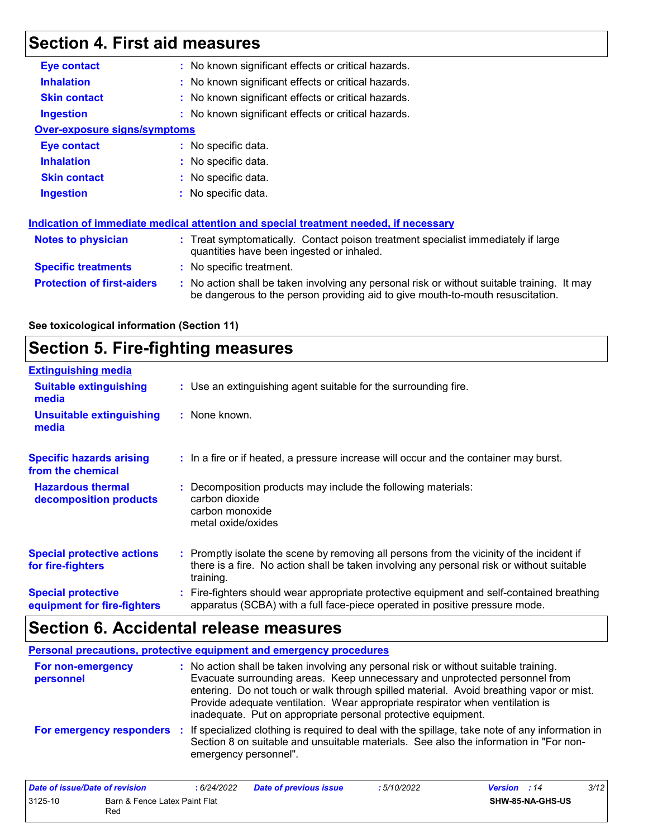# **Section 4. First aid measures**

| <b>Eye contact</b>                  | : No known significant effects or critical hazards.                                                                                                                           |
|-------------------------------------|-------------------------------------------------------------------------------------------------------------------------------------------------------------------------------|
| <b>Inhalation</b>                   | : No known significant effects or critical hazards.                                                                                                                           |
| <b>Skin contact</b>                 | : No known significant effects or critical hazards.                                                                                                                           |
| <b>Ingestion</b>                    | : No known significant effects or critical hazards.                                                                                                                           |
| <b>Over-exposure signs/symptoms</b> |                                                                                                                                                                               |
| Eye contact                         | : No specific data.                                                                                                                                                           |
| <b>Inhalation</b>                   | : No specific data.                                                                                                                                                           |
| <b>Skin contact</b>                 | : No specific data.                                                                                                                                                           |
| <b>Ingestion</b>                    | : No specific data.                                                                                                                                                           |
|                                     | Indication of immediate medical attention and special treatment needed, if necessary                                                                                          |
| Notes to physician                  | : Treat symptomatically. Contact poison treatment specialist immediately if large<br>quantities have been ingested or inhaled.                                                |
| <b>Specific treatments</b>          | : No specific treatment.                                                                                                                                                      |
| <b>Protection of first-aiders</b>   | : No action shall be taken involving any personal risk or without suitable training. It may<br>be dangerous to the person providing aid to give mouth-to-mouth resuscitation. |

#### **See toxicological information (Section 11)**

# **Section 5. Fire-fighting measures**

| <b>Extinguishing media</b>                               |                                                                                                                                                                                                     |  |
|----------------------------------------------------------|-----------------------------------------------------------------------------------------------------------------------------------------------------------------------------------------------------|--|
| <b>Suitable extinguishing</b><br>media                   | : Use an extinguishing agent suitable for the surrounding fire.                                                                                                                                     |  |
| <b>Unsuitable extinguishing</b><br>media                 | : None known.                                                                                                                                                                                       |  |
| <b>Specific hazards arising</b><br>from the chemical     | : In a fire or if heated, a pressure increase will occur and the container may burst.                                                                                                               |  |
| <b>Hazardous thermal</b><br>decomposition products       | : Decomposition products may include the following materials:<br>carbon dioxide<br>carbon monoxide<br>metal oxide/oxides                                                                            |  |
| <b>Special protective actions</b><br>for fire-fighters   | : Promptly isolate the scene by removing all persons from the vicinity of the incident if<br>there is a fire. No action shall be taken involving any personal risk or without suitable<br>training. |  |
| <b>Special protective</b><br>equipment for fire-fighters | : Fire-fighters should wear appropriate protective equipment and self-contained breathing<br>apparatus (SCBA) with a full face-piece operated in positive pressure mode.                            |  |

# **Section 6. Accidental release measures**

|                                | Personal precautions, protective equipment and emergency procedures                                                                                                                                                                                                                                                                                                                                              |
|--------------------------------|------------------------------------------------------------------------------------------------------------------------------------------------------------------------------------------------------------------------------------------------------------------------------------------------------------------------------------------------------------------------------------------------------------------|
| For non-emergency<br>personnel | : No action shall be taken involving any personal risk or without suitable training.<br>Evacuate surrounding areas. Keep unnecessary and unprotected personnel from<br>entering. Do not touch or walk through spilled material. Avoid breathing vapor or mist.<br>Provide adequate ventilation. Wear appropriate respirator when ventilation is<br>inadequate. Put on appropriate personal protective equipment. |
| For emergency responders       | : If specialized clothing is required to deal with the spillage, take note of any information in<br>Section 8 on suitable and unsuitable materials. See also the information in "For non-<br>emergency personnel".                                                                                                                                                                                               |

| Date of issue/Date of revision                  |  | : 6/24/2022 | <b>Date of previous issue</b> | 5/10/2022        | <b>Version</b> : 14 | 3/12 |
|-------------------------------------------------|--|-------------|-------------------------------|------------------|---------------------|------|
| 3125-10<br>Barn & Fence Latex Paint Flat<br>Rec |  |             |                               | SHW-85-NA-GHS-US |                     |      |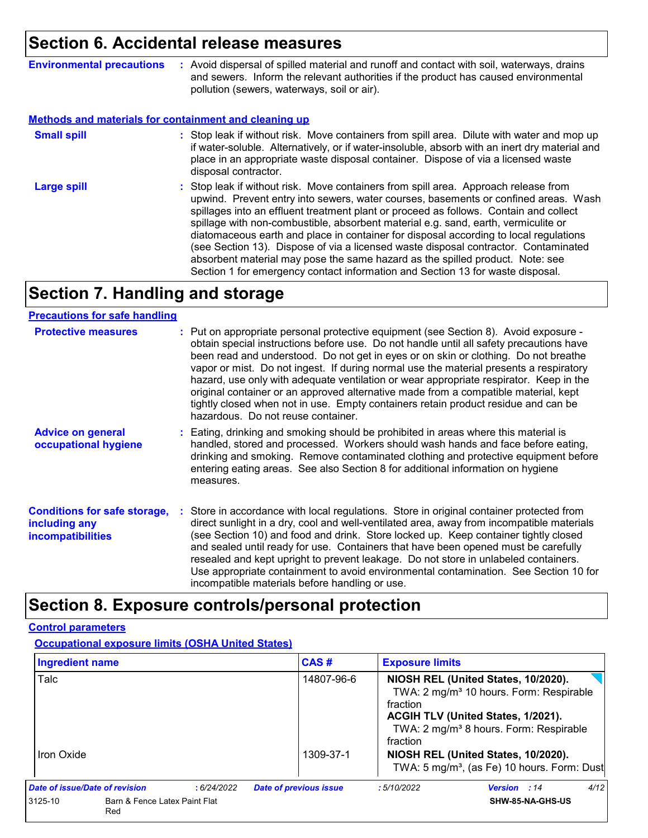### **Section 6. Accidental release measures**

**Environmental precautions :** Avoid dispersal of spilled material and runoff and contact with soil, waterways, drains and sewers. Inform the relevant authorities if the product has caused environmental pollution (sewers, waterways, soil or air).

#### **Methods and materials for containment and cleaning up**

| <b>Small spill</b> | : Stop leak if without risk. Move containers from spill area. Dilute with water and mop up<br>if water-soluble. Alternatively, or if water-insoluble, absorb with an inert dry material and<br>place in an appropriate waste disposal container. Dispose of via a licensed waste<br>disposal contractor.                                                                                                                                                                                                                                                                                                                                                                                                     |
|--------------------|--------------------------------------------------------------------------------------------------------------------------------------------------------------------------------------------------------------------------------------------------------------------------------------------------------------------------------------------------------------------------------------------------------------------------------------------------------------------------------------------------------------------------------------------------------------------------------------------------------------------------------------------------------------------------------------------------------------|
| <b>Large spill</b> | : Stop leak if without risk. Move containers from spill area. Approach release from<br>upwind. Prevent entry into sewers, water courses, basements or confined areas. Wash<br>spillages into an effluent treatment plant or proceed as follows. Contain and collect<br>spillage with non-combustible, absorbent material e.g. sand, earth, vermiculite or<br>diatomaceous earth and place in container for disposal according to local regulations<br>(see Section 13). Dispose of via a licensed waste disposal contractor. Contaminated<br>absorbent material may pose the same hazard as the spilled product. Note: see<br>Section 1 for emergency contact information and Section 13 for waste disposal. |

### **Section 7. Handling and storage**

#### **Precautions for safe handling**

| <b>Protective measures</b>                                                       | : Put on appropriate personal protective equipment (see Section 8). Avoid exposure -<br>obtain special instructions before use. Do not handle until all safety precautions have<br>been read and understood. Do not get in eyes or on skin or clothing. Do not breathe<br>vapor or mist. Do not ingest. If during normal use the material presents a respiratory<br>hazard, use only with adequate ventilation or wear appropriate respirator. Keep in the<br>original container or an approved alternative made from a compatible material, kept<br>tightly closed when not in use. Empty containers retain product residue and can be<br>hazardous. Do not reuse container. |
|----------------------------------------------------------------------------------|-------------------------------------------------------------------------------------------------------------------------------------------------------------------------------------------------------------------------------------------------------------------------------------------------------------------------------------------------------------------------------------------------------------------------------------------------------------------------------------------------------------------------------------------------------------------------------------------------------------------------------------------------------------------------------|
| <b>Advice on general</b><br>occupational hygiene                                 | : Eating, drinking and smoking should be prohibited in areas where this material is<br>handled, stored and processed. Workers should wash hands and face before eating,<br>drinking and smoking. Remove contaminated clothing and protective equipment before<br>entering eating areas. See also Section 8 for additional information on hygiene<br>measures.                                                                                                                                                                                                                                                                                                                 |
| <b>Conditions for safe storage,</b><br>including any<br><b>incompatibilities</b> | : Store in accordance with local regulations. Store in original container protected from<br>direct sunlight in a dry, cool and well-ventilated area, away from incompatible materials<br>(see Section 10) and food and drink. Store locked up. Keep container tightly closed<br>and sealed until ready for use. Containers that have been opened must be carefully<br>resealed and kept upright to prevent leakage. Do not store in unlabeled containers.<br>Use appropriate containment to avoid environmental contamination. See Section 10 for<br>incompatible materials before handling or use.                                                                           |

### **Section 8. Exposure controls/personal protection**

#### **Control parameters**

#### **Occupational exposure limits (OSHA United States)**

| Ingredient name                |                                      |            | CAS#                          | <b>Exposure limits</b> |                                                                                                                                                                                        |      |
|--------------------------------|--------------------------------------|------------|-------------------------------|------------------------|----------------------------------------------------------------------------------------------------------------------------------------------------------------------------------------|------|
| Talc                           |                                      |            | 14807-96-6                    | fraction<br>fraction   | NIOSH REL (United States, 10/2020).<br>TWA: 2 mg/m <sup>3</sup> 10 hours. Form: Respirable<br>ACGIH TLV (United States, 1/2021).<br>TWA: 2 mg/m <sup>3</sup> 8 hours. Form: Respirable |      |
| Iron Oxide                     |                                      |            | 1309-37-1                     |                        | NIOSH REL (United States, 10/2020).<br>TWA: 5 mg/m <sup>3</sup> , (as Fe) 10 hours. Form: Dust                                                                                         |      |
| Date of issue/Date of revision |                                      | :6/24/2022 | <b>Date of previous issue</b> | :5/10/2022             | <b>Version</b> : 14                                                                                                                                                                    | 4/12 |
| 3125-10                        | Barn & Fence Latex Paint Flat<br>Red |            |                               |                        | SHW-85-NA-GHS-US                                                                                                                                                                       |      |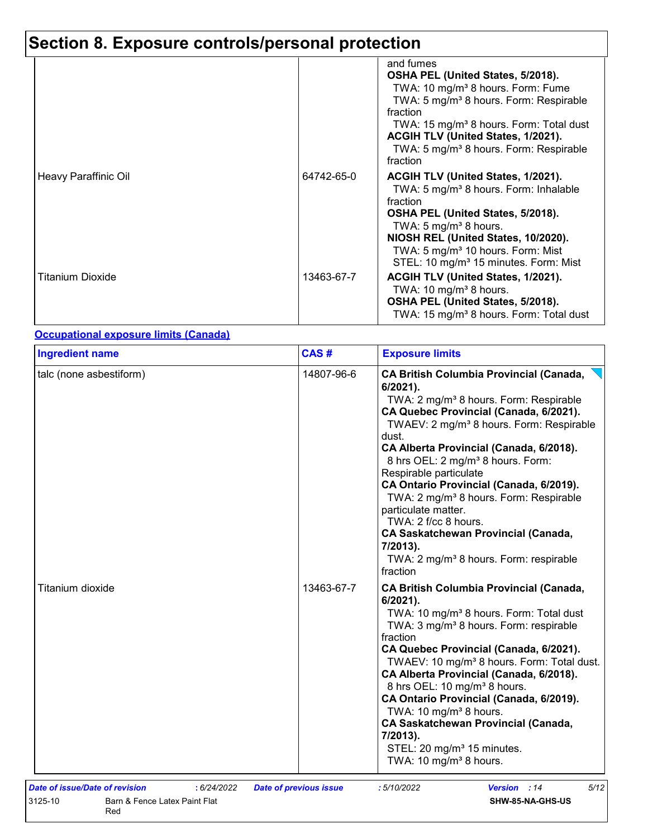# **Section 8. Exposure controls/personal protection**

|                         |            | and fumes<br>OSHA PEL (United States, 5/2018).<br>TWA: 10 mg/m <sup>3</sup> 8 hours. Form: Fume<br>TWA: 5 mg/m <sup>3</sup> 8 hours. Form: Respirable<br>fraction                                                                                                                                                          |
|-------------------------|------------|----------------------------------------------------------------------------------------------------------------------------------------------------------------------------------------------------------------------------------------------------------------------------------------------------------------------------|
|                         |            | TWA: 15 mg/m <sup>3</sup> 8 hours. Form: Total dust<br>ACGIH TLV (United States, 1/2021).<br>TWA: 5 mg/m <sup>3</sup> 8 hours. Form: Respirable<br>fraction                                                                                                                                                                |
| Heavy Paraffinic Oil    | 64742-65-0 | ACGIH TLV (United States, 1/2021).<br>TWA: 5 mg/m <sup>3</sup> 8 hours. Form: Inhalable<br>fraction<br>OSHA PEL (United States, 5/2018).<br>TWA: 5 mg/m <sup>3</sup> 8 hours.<br>NIOSH REL (United States, 10/2020).<br>TWA: 5 mg/m <sup>3</sup> 10 hours. Form: Mist<br>STEL: 10 mg/m <sup>3</sup> 15 minutes. Form: Mist |
| <b>Titanium Dioxide</b> | 13463-67-7 | ACGIH TLV (United States, 1/2021).<br>TWA: 10 mg/m <sup>3</sup> 8 hours.<br>OSHA PEL (United States, 5/2018).<br>TWA: 15 mg/m <sup>3</sup> 8 hours. Form: Total dust                                                                                                                                                       |

#### **Occupational exposure limits (Canada)**

| <b>Ingredient name</b>  | CAS#       | <b>Exposure limits</b>                                                                                                                                                                                                                                                                                                                                                                                                                                                                                                                                                                                                           |
|-------------------------|------------|----------------------------------------------------------------------------------------------------------------------------------------------------------------------------------------------------------------------------------------------------------------------------------------------------------------------------------------------------------------------------------------------------------------------------------------------------------------------------------------------------------------------------------------------------------------------------------------------------------------------------------|
| talc (none asbestiform) | 14807-96-6 | <b>CA British Columbia Provincial (Canada,</b><br>$6/2021$ ).<br>TWA: 2 mg/m <sup>3</sup> 8 hours. Form: Respirable<br>CA Quebec Provincial (Canada, 6/2021).<br>TWAEV: 2 mg/m <sup>3</sup> 8 hours. Form: Respirable<br>dust.<br>CA Alberta Provincial (Canada, 6/2018).<br>8 hrs OEL: 2 mg/m <sup>3</sup> 8 hours. Form:<br>Respirable particulate<br>CA Ontario Provincial (Canada, 6/2019).<br>TWA: 2 mg/m <sup>3</sup> 8 hours. Form: Respirable<br>particulate matter.<br>TWA: 2 f/cc 8 hours.<br><b>CA Saskatchewan Provincial (Canada,</b><br>7/2013).<br>TWA: 2 mg/m <sup>3</sup> 8 hours. Form: respirable<br>fraction |
| Titanium dioxide        | 13463-67-7 | <b>CA British Columbia Provincial (Canada,</b><br>$6/2021$ ).<br>TWA: 10 mg/m <sup>3</sup> 8 hours. Form: Total dust<br>TWA: 3 mg/m <sup>3</sup> 8 hours. Form: respirable<br>fraction<br>CA Quebec Provincial (Canada, 6/2021).<br>TWAEV: 10 mg/m <sup>3</sup> 8 hours. Form: Total dust.<br>CA Alberta Provincial (Canada, 6/2018).<br>8 hrs OEL: 10 mg/m <sup>3</sup> 8 hours.<br>CA Ontario Provincial (Canada, 6/2019).<br>TWA: 10 mg/m <sup>3</sup> 8 hours.<br><b>CA Saskatchewan Provincial (Canada,</b><br>7/2013).<br>STEL: 20 mg/m <sup>3</sup> 15 minutes.<br>TWA: 10 mg/m <sup>3</sup> 8 hours.                     |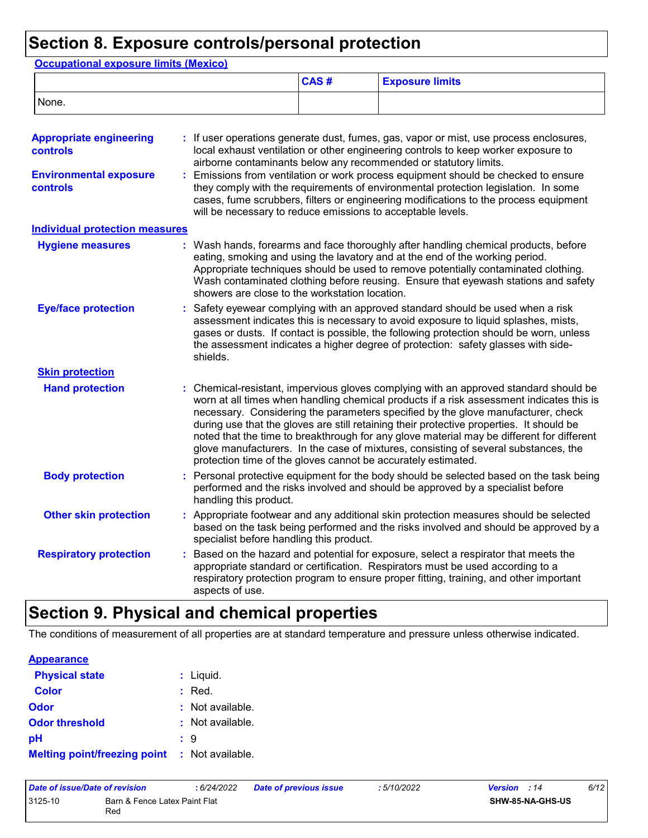# **Section 8. Exposure controls/personal protection**

| <b>Occupational exposure limits (Mexico)</b> |                 |                                                                                                                                                                                                                                                                                                                                                      |                                                                                                                                                                                                                                                                                                                                                                                                                                                                                                                                                     |  |  |  |
|----------------------------------------------|-----------------|------------------------------------------------------------------------------------------------------------------------------------------------------------------------------------------------------------------------------------------------------------------------------------------------------------------------------------------------------|-----------------------------------------------------------------------------------------------------------------------------------------------------------------------------------------------------------------------------------------------------------------------------------------------------------------------------------------------------------------------------------------------------------------------------------------------------------------------------------------------------------------------------------------------------|--|--|--|
|                                              |                 | CAS#                                                                                                                                                                                                                                                                                                                                                 | <b>Exposure limits</b>                                                                                                                                                                                                                                                                                                                                                                                                                                                                                                                              |  |  |  |
| None.                                        |                 |                                                                                                                                                                                                                                                                                                                                                      |                                                                                                                                                                                                                                                                                                                                                                                                                                                                                                                                                     |  |  |  |
| <b>Appropriate engineering</b><br>controls   |                 |                                                                                                                                                                                                                                                                                                                                                      | If user operations generate dust, fumes, gas, vapor or mist, use process enclosures,<br>local exhaust ventilation or other engineering controls to keep worker exposure to<br>airborne contaminants below any recommended or statutory limits.                                                                                                                                                                                                                                                                                                      |  |  |  |
| <b>Environmental exposure</b><br>controls    |                 | Emissions from ventilation or work process equipment should be checked to ensure<br>they comply with the requirements of environmental protection legislation. In some<br>cases, fume scrubbers, filters or engineering modifications to the process equipment<br>will be necessary to reduce emissions to acceptable levels.                        |                                                                                                                                                                                                                                                                                                                                                                                                                                                                                                                                                     |  |  |  |
| <b>Individual protection measures</b>        |                 |                                                                                                                                                                                                                                                                                                                                                      |                                                                                                                                                                                                                                                                                                                                                                                                                                                                                                                                                     |  |  |  |
| <b>Hygiene measures</b>                      |                 | showers are close to the workstation location.                                                                                                                                                                                                                                                                                                       | : Wash hands, forearms and face thoroughly after handling chemical products, before<br>eating, smoking and using the lavatory and at the end of the working period.<br>Appropriate techniques should be used to remove potentially contaminated clothing.<br>Wash contaminated clothing before reusing. Ensure that eyewash stations and safety                                                                                                                                                                                                     |  |  |  |
| <b>Eye/face protection</b>                   | shields.        | Safety eyewear complying with an approved standard should be used when a risk<br>assessment indicates this is necessary to avoid exposure to liquid splashes, mists,<br>gases or dusts. If contact is possible, the following protection should be worn, unless<br>the assessment indicates a higher degree of protection: safety glasses with side- |                                                                                                                                                                                                                                                                                                                                                                                                                                                                                                                                                     |  |  |  |
| <b>Skin protection</b>                       |                 |                                                                                                                                                                                                                                                                                                                                                      |                                                                                                                                                                                                                                                                                                                                                                                                                                                                                                                                                     |  |  |  |
| <b>Hand protection</b>                       |                 | protection time of the gloves cannot be accurately estimated.                                                                                                                                                                                                                                                                                        | Chemical-resistant, impervious gloves complying with an approved standard should be<br>worn at all times when handling chemical products if a risk assessment indicates this is<br>necessary. Considering the parameters specified by the glove manufacturer, check<br>during use that the gloves are still retaining their protective properties. It should be<br>noted that the time to breakthrough for any glove material may be different for different<br>glove manufacturers. In the case of mixtures, consisting of several substances, the |  |  |  |
| <b>Body protection</b>                       |                 | handling this product.                                                                                                                                                                                                                                                                                                                               | Personal protective equipment for the body should be selected based on the task being<br>performed and the risks involved and should be approved by a specialist before                                                                                                                                                                                                                                                                                                                                                                             |  |  |  |
| <b>Other skin protection</b>                 |                 | specialist before handling this product.                                                                                                                                                                                                                                                                                                             | : Appropriate footwear and any additional skin protection measures should be selected<br>based on the task being performed and the risks involved and should be approved by a                                                                                                                                                                                                                                                                                                                                                                       |  |  |  |
| <b>Respiratory protection</b>                | aspects of use. |                                                                                                                                                                                                                                                                                                                                                      | Based on the hazard and potential for exposure, select a respirator that meets the<br>appropriate standard or certification. Respirators must be used according to a<br>respiratory protection program to ensure proper fitting, training, and other important                                                                                                                                                                                                                                                                                      |  |  |  |

# **Section 9. Physical and chemical properties**

The conditions of measurement of all properties are at standard temperature and pressure unless otherwise indicated.

| <b>Appearance</b>                   |                  |
|-------------------------------------|------------------|
| <b>Physical state</b>               | $:$ Liquid.      |
| <b>Color</b>                        | : Red.           |
| <b>Odor</b>                         | : Not available. |
| <b>Odor threshold</b>               | : Not available. |
| рH                                  | : 9              |
| <b>Melting point/freezing point</b> | : Not available. |

| Date of issue/Date of revision |                                      | : 6/24/2022 | Date of previous issue | : 5/10/2022 | <b>Version</b> : 14     | 6/12 |
|--------------------------------|--------------------------------------|-------------|------------------------|-------------|-------------------------|------|
| 3125-10                        | Barn & Fence Latex Paint Flat<br>Red |             |                        |             | <b>SHW-85-NA-GHS-US</b> |      |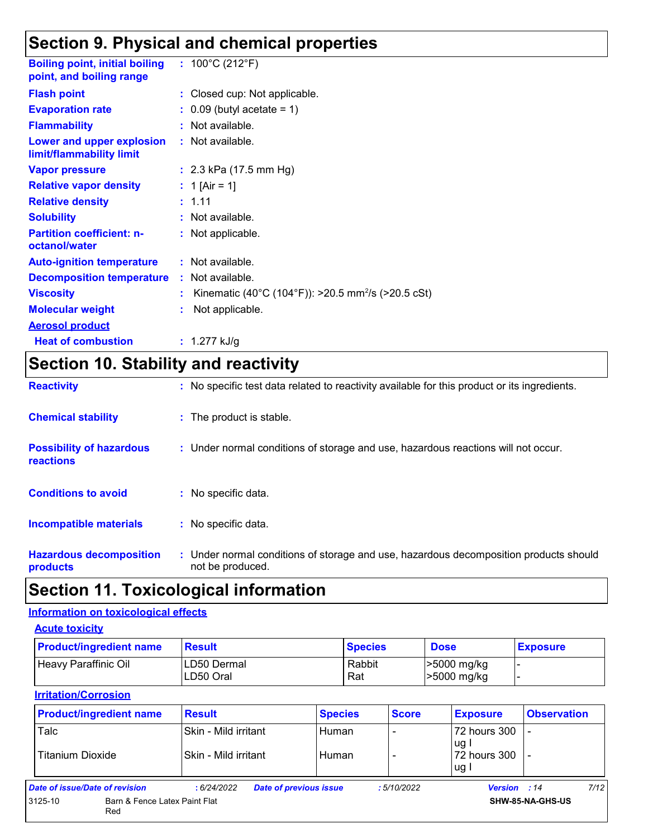### **Section 9. Physical and chemical properties**

| <b>Boiling point, initial boiling</b><br>point, and boiling range | : $100^{\circ}$ C (212 $^{\circ}$ F)                           |
|-------------------------------------------------------------------|----------------------------------------------------------------|
| <b>Flash point</b>                                                | : Closed cup: Not applicable.                                  |
| <b>Evaporation rate</b>                                           | $\therefore$ 0.09 (butyl acetate = 1)                          |
| <b>Flammability</b>                                               | $:$ Not available.                                             |
| Lower and upper explosion<br>limit/flammability limit             | : Not available.                                               |
| <b>Vapor pressure</b>                                             | : $2.3$ kPa (17.5 mm Hg)                                       |
| <b>Relative vapor density</b>                                     | : 1 [Air = 1]                                                  |
| <b>Relative density</b>                                           | : 1.11                                                         |
| <b>Solubility</b>                                                 | : Not available.                                               |
| <b>Partition coefficient: n-</b><br>octanol/water                 | : Not applicable.                                              |
| <b>Auto-ignition temperature</b>                                  | : Not available.                                               |
| <b>Decomposition temperature</b>                                  | : Not available.                                               |
| <b>Viscosity</b>                                                  | Kinematic (40°C (104°F)): >20.5 mm <sup>2</sup> /s (>20.5 cSt) |
| <b>Molecular weight</b>                                           | Not applicable.                                                |
| <b>Aerosol product</b>                                            |                                                                |
| <b>Heat of combustion</b>                                         | : $1.277$ kJ/g                                                 |

# **Section 10. Stability and reactivity**

| <b>Reactivity</b>                            | : No specific test data related to reactivity available for this product or its ingredients.              |
|----------------------------------------------|-----------------------------------------------------------------------------------------------------------|
| <b>Chemical stability</b>                    | : The product is stable.                                                                                  |
| <b>Possibility of hazardous</b><br>reactions | : Under normal conditions of storage and use, hazardous reactions will not occur.                         |
| <b>Conditions to avoid</b>                   | : No specific data.                                                                                       |
| <b>Incompatible materials</b>                | : No specific data.                                                                                       |
| <b>Hazardous decomposition</b><br>products   | : Under normal conditions of storage and use, hazardous decomposition products should<br>not be produced. |

### **Section 11. Toxicological information**

#### **Information on toxicological effects**

**Acute toxicity**

| <b>Product/ingredient name</b> | <b>Result</b>            | <b>Species</b> | <b>Dose</b>                | <b>Exposure</b> |
|--------------------------------|--------------------------|----------------|----------------------------|-----------------|
| Heavy Paraffinic Oil           | LD50 Dermal<br>LD50 Oral | Rabbit<br>Rat  | >5000 mg/kg<br>>5000 mg/kg |                 |

#### **Irritation/Corrosion**

| <b>Product/ingredient name</b> | <b>Result</b>                                | <b>Species</b>                | <b>Score</b> | <b>Exposure</b>                    | <b>Observation</b> |
|--------------------------------|----------------------------------------------|-------------------------------|--------------|------------------------------------|--------------------|
| Talc<br>Titanium Dioxide       | Skin - Mild irritant<br>Skin - Mild irritant | Human<br>Human                |              | 72 hours 300<br>ug<br>72 hours 300 |                    |
| Date of issue/Date of revision | :6/24/2022                                   | <b>Date of previous issue</b> | : 5/10/2022  | ug.<br><b>Version</b> : 14         | 7/12               |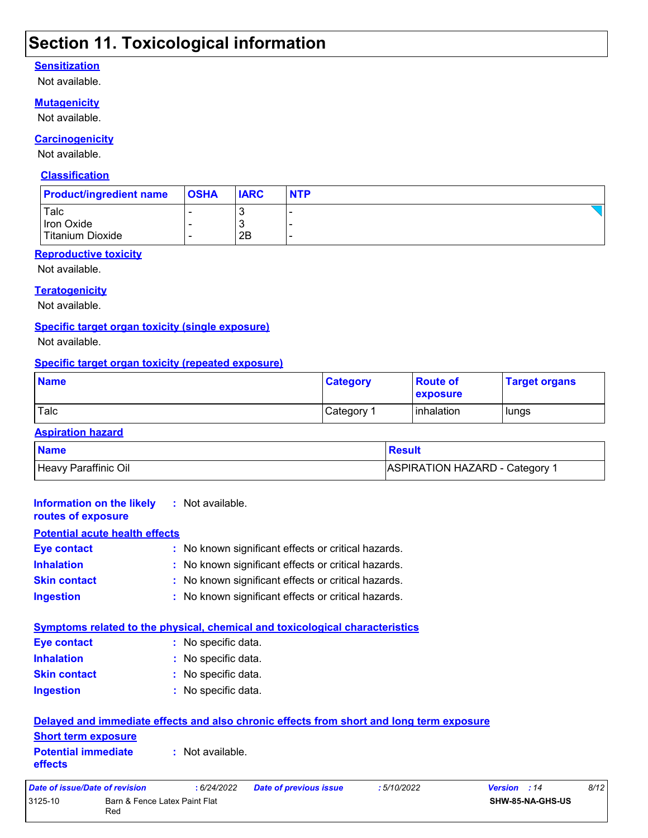### **Section 11. Toxicological information**

#### **Sensitization**

Not available.

#### **Mutagenicity**

Not available.

#### **Carcinogenicity**

Not available.

#### **Classification**

| <b>Product/ingredient name</b>         | <b>OSHA</b> | <b>IARC</b>         | <b>NTP</b> |
|----------------------------------------|-------------|---------------------|------------|
| Talc<br>Iron Oxide<br>Titanium Dioxide | -           | <b>N</b><br>J<br>2Β |            |

#### **Reproductive toxicity**

Not available.

#### **Teratogenicity**

Not available.

#### **Specific target organ toxicity (single exposure)**

Not available.

#### **Specific target organ toxicity (repeated exposure)**

| <b>Name</b> | <b>Category</b>        | <b>Route of</b><br><b>exposure</b> | <b>Target organs</b> |
|-------------|------------------------|------------------------------------|----------------------|
| Talc        | ∣Category <sup>≁</sup> | inhalation                         | lungs                |

#### **Aspiration hazard**

| <b>Name</b>          | <b>Result</b>                         |
|----------------------|---------------------------------------|
| Heavy Paraffinic Oil | <b>ASPIRATION HAZARD - Category 1</b> |

| Information on the likely<br>routes of exposure                                          |                               | : Not available.    |                                                     |            |              |                  |      |
|------------------------------------------------------------------------------------------|-------------------------------|---------------------|-----------------------------------------------------|------------|--------------|------------------|------|
| <b>Potential acute health effects</b>                                                    |                               |                     |                                                     |            |              |                  |      |
| <b>Eye contact</b>                                                                       |                               |                     | : No known significant effects or critical hazards. |            |              |                  |      |
| <b>Inhalation</b>                                                                        |                               |                     | : No known significant effects or critical hazards. |            |              |                  |      |
| <b>Skin contact</b>                                                                      |                               |                     | : No known significant effects or critical hazards. |            |              |                  |      |
| <b>Ingestion</b>                                                                         |                               |                     | : No known significant effects or critical hazards. |            |              |                  |      |
| Symptoms related to the physical, chemical and toxicological characteristics             |                               |                     |                                                     |            |              |                  |      |
| <b>Eye contact</b>                                                                       |                               | : No specific data. |                                                     |            |              |                  |      |
| <b>Inhalation</b>                                                                        |                               | : No specific data. |                                                     |            |              |                  |      |
| <b>Skin contact</b>                                                                      |                               | : No specific data. |                                                     |            |              |                  |      |
| <b>Ingestion</b>                                                                         |                               | : No specific data. |                                                     |            |              |                  |      |
| Delayed and immediate effects and also chronic effects from short and long term exposure |                               |                     |                                                     |            |              |                  |      |
| <b>Short term exposure</b>                                                               |                               |                     |                                                     |            |              |                  |      |
| <b>Potential immediate</b><br>effects                                                    |                               | : Not available.    |                                                     |            |              |                  |      |
| Date of issue/Date of revision                                                           |                               | : 6/24/2022         | <b>Date of previous issue</b>                       | :5/10/2022 | Version : 14 |                  | 8/12 |
| 3125-10<br>Red                                                                           | Barn & Fence Latex Paint Flat |                     |                                                     |            |              | SHW-85-NA-GHS-US |      |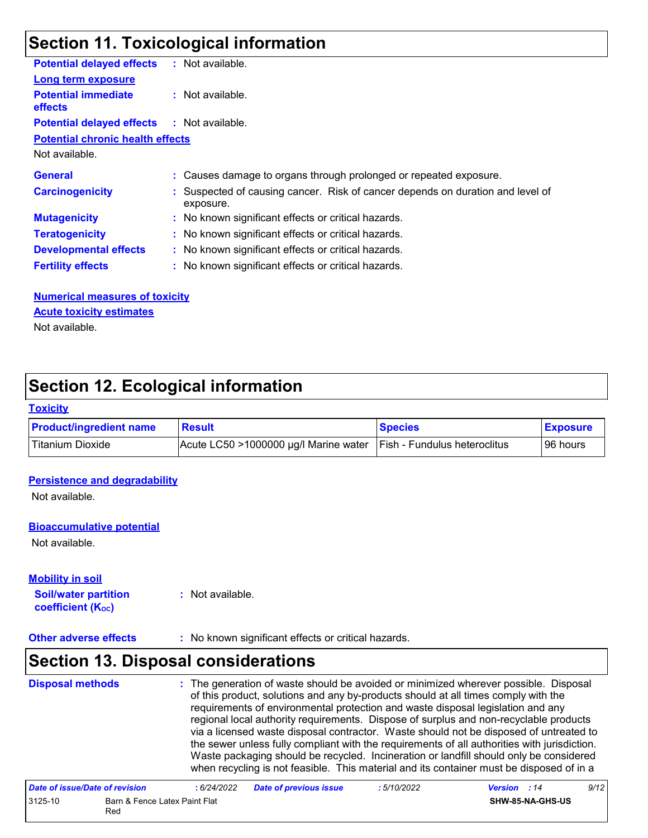# **Section 11. Toxicological information**

| <b>Potential delayed effects</b>             | : Not available.                                                                            |
|----------------------------------------------|---------------------------------------------------------------------------------------------|
| Long term exposure                           |                                                                                             |
| <b>Potential immediate</b><br><b>effects</b> | : Not available.                                                                            |
| <b>Potential delayed effects</b>             | : Not available.                                                                            |
| <b>Potential chronic health effects</b>      |                                                                                             |
| Not available.                               |                                                                                             |
| <b>General</b>                               | : Causes damage to organs through prolonged or repeated exposure.                           |
| <b>Carcinogenicity</b>                       | : Suspected of causing cancer. Risk of cancer depends on duration and level of<br>exposure. |
| <b>Mutagenicity</b>                          | : No known significant effects or critical hazards.                                         |
| <b>Teratogenicity</b>                        | : No known significant effects or critical hazards.                                         |
| <b>Developmental effects</b>                 | : No known significant effects or critical hazards.                                         |
| <b>Fertility effects</b>                     | : No known significant effects or critical hazards.                                         |

**Numerical measures of toxicity** Not available. **Acute toxicity estimates**

### **Section 12. Ecological information**

#### **Toxicity**

| <b>Product/ingredient name</b> | <b>Result</b>                                                              | <b>Species</b> | <b>Exposure</b> |
|--------------------------------|----------------------------------------------------------------------------|----------------|-----------------|
| Titanium Dioxide               | $ $ Acute LC50 >1000000 µg/l Marine water $ $ Fish - Fundulus heteroclitus |                | ⊺96 hours       |

#### **Persistence and degradability**

Not available.

#### **Bioaccumulative potential**

Not available.

#### **Mobility in soil**

**Soil/water partition coefficient (K**<sub>oc</sub>)

**:** Not available.

**Other adverse effects** : No known significant effects or critical hazards.

### **Section 13. Disposal considerations**

#### **Disposal methods :**

The generation of waste should be avoided or minimized wherever possible. Disposal of this product, solutions and any by-products should at all times comply with the requirements of environmental protection and waste disposal legislation and any regional local authority requirements. Dispose of surplus and non-recyclable products via a licensed waste disposal contractor. Waste should not be disposed of untreated to the sewer unless fully compliant with the requirements of all authorities with jurisdiction. Waste packaging should be recycled. Incineration or landfill should only be considered when recycling is not feasible. This material and its container must be disposed of in a

| Date of issue/Date of revision |                                      | : 6/24/2022 | <b>Date of previous issue</b> | : 5/10/2022 | <b>Version</b> : 14     | 9/12 |
|--------------------------------|--------------------------------------|-------------|-------------------------------|-------------|-------------------------|------|
| 3125-10                        | Barn & Fence Latex Paint Flat<br>Red |             |                               |             | <b>SHW-85-NA-GHS-US</b> |      |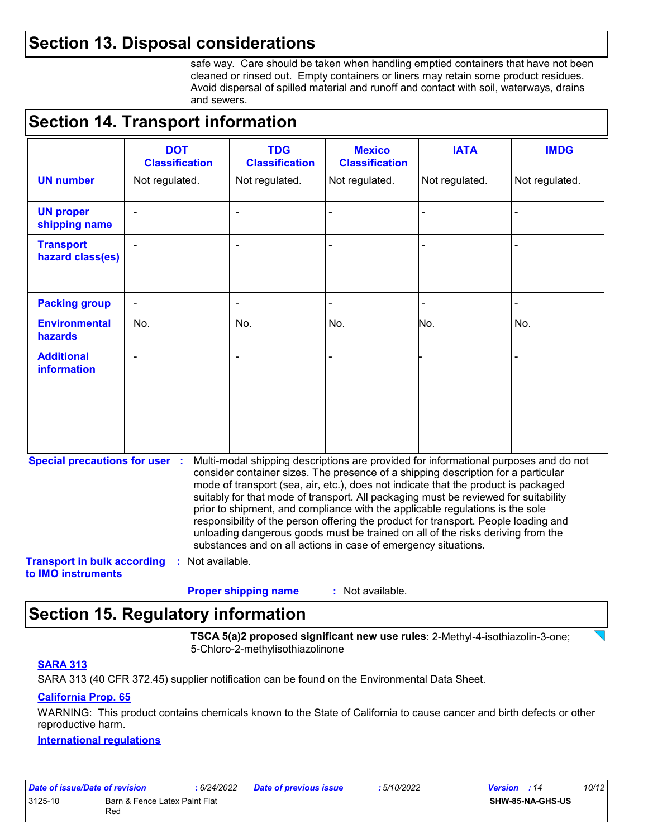### **Section 13. Disposal considerations**

safe way. Care should be taken when handling emptied containers that have not been cleaned or rinsed out. Empty containers or liners may retain some product residues. Avoid dispersal of spilled material and runoff and contact with soil, waterways, drains and sewers.

### **Section 14. Transport information**

|                                         | <b>DOT</b><br><b>Classification</b> | <b>TDG</b><br><b>Classification</b> | <b>Mexico</b><br><b>Classification</b> | <b>IATA</b>    | <b>IMDG</b>    |
|-----------------------------------------|-------------------------------------|-------------------------------------|----------------------------------------|----------------|----------------|
| <b>UN number</b>                        | Not regulated.                      | Not regulated.                      | Not regulated.                         | Not regulated. | Not regulated. |
| <b>UN proper</b><br>shipping name       | $\blacksquare$                      | $\overline{\phantom{a}}$            |                                        |                | -              |
| <b>Transport</b><br>hazard class(es)    | $\blacksquare$                      | $\blacksquare$                      |                                        |                |                |
| <b>Packing group</b>                    | $\overline{\phantom{a}}$            | $\blacksquare$                      | $\overline{\phantom{0}}$               |                | $\blacksquare$ |
| <b>Environmental</b><br>hazards         | No.                                 | No.                                 | No.                                    | No.            | No.            |
| <b>Additional</b><br><b>information</b> |                                     | $\blacksquare$                      |                                        |                |                |

**Special precautions for user :** Multi-modal shipping descriptions are provided for informational purposes and do not consider container sizes. The presence of a shipping description for a particular mode of transport (sea, air, etc.), does not indicate that the product is packaged suitably for that mode of transport. All packaging must be reviewed for suitability prior to shipment, and compliance with the applicable regulations is the sole responsibility of the person offering the product for transport. People loading and unloading dangerous goods must be trained on all of the risks deriving from the substances and on all actions in case of emergency situations.

**Transport in bulk according :** Not available. **to IMO instruments**

> : Not available. **Proper shipping name :**

### **Section 15. Regulatory information**

**TSCA 5(a)2 proposed significant new use rules**: 2-Methyl-4-isothiazolin-3-one; 5-Chloro-2-methylisothiazolinone

#### **SARA 313**

SARA 313 (40 CFR 372.45) supplier notification can be found on the Environmental Data Sheet.

#### **California Prop. 65**

WARNING: This product contains chemicals known to the State of California to cause cancer and birth defects or other reproductive harm.

#### **International regulations**

| Date of issue/Date of revision |                                      | : 6/24/2022 | <b>Date of previous issue</b> | : 5/10/2022 | <b>Version</b> : 14     | 10/12 |
|--------------------------------|--------------------------------------|-------------|-------------------------------|-------------|-------------------------|-------|
| 3125-10                        | Barn & Fence Latex Paint Flat<br>Red |             |                               |             | <b>SHW-85-NA-GHS-US</b> |       |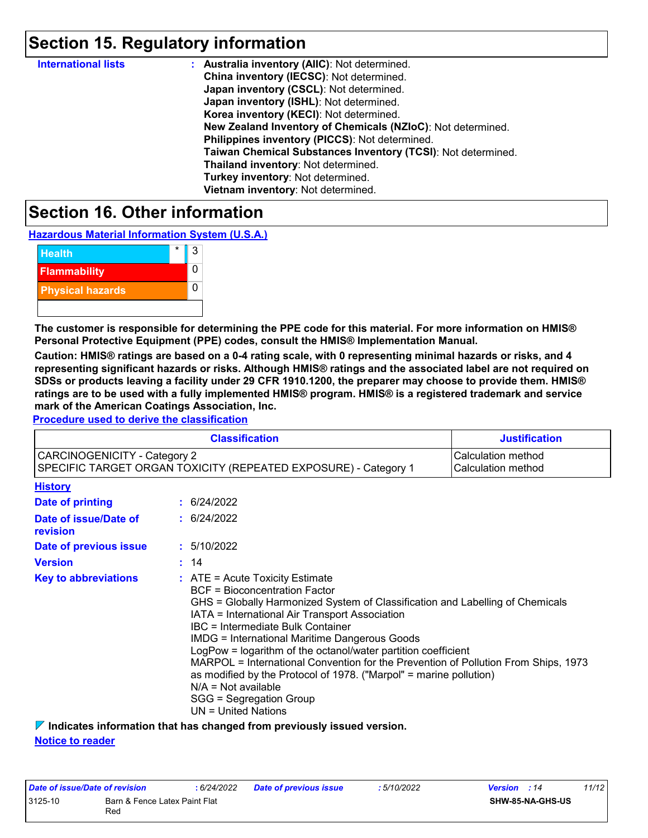### **Section 15. Regulatory information**

| <b>International lists</b> | : Australia inventory (AIIC): Not determined.                |
|----------------------------|--------------------------------------------------------------|
|                            | China inventory (IECSC): Not determined.                     |
|                            | Japan inventory (CSCL): Not determined.                      |
|                            | Japan inventory (ISHL): Not determined.                      |
|                            | Korea inventory (KECI): Not determined.                      |
|                            | New Zealand Inventory of Chemicals (NZIoC): Not determined.  |
|                            | Philippines inventory (PICCS): Not determined.               |
|                            | Taiwan Chemical Substances Inventory (TCSI): Not determined. |
|                            | Thailand inventory: Not determined.                          |
|                            | Turkey inventory: Not determined.                            |
|                            | Vietnam inventory: Not determined.                           |

### **Section 16. Other information**

**Hazardous Material Information System (U.S.A.)**



**The customer is responsible for determining the PPE code for this material. For more information on HMIS® Personal Protective Equipment (PPE) codes, consult the HMIS® Implementation Manual.**

**Caution: HMIS® ratings are based on a 0-4 rating scale, with 0 representing minimal hazards or risks, and 4 representing significant hazards or risks. Although HMIS® ratings and the associated label are not required on SDSs or products leaving a facility under 29 CFR 1910.1200, the preparer may choose to provide them. HMIS® ratings are to be used with a fully implemented HMIS® program. HMIS® is a registered trademark and service mark of the American Coatings Association, Inc.**

**Procedure used to derive the classification**

|                                     | <b>Classification</b>                                                                                                                                                                                                                                                                                      | <b>Justification</b>                     |
|-------------------------------------|------------------------------------------------------------------------------------------------------------------------------------------------------------------------------------------------------------------------------------------------------------------------------------------------------------|------------------------------------------|
| <b>CARCINOGENICITY - Category 2</b> | SPECIFIC TARGET ORGAN TOXICITY (REPEATED EXPOSURE) - Category 1                                                                                                                                                                                                                                            | Calculation method<br>Calculation method |
| <b>History</b>                      |                                                                                                                                                                                                                                                                                                            |                                          |
| Date of printing                    | : 6/24/2022                                                                                                                                                                                                                                                                                                |                                          |
| Date of issue/Date of<br>revision   | : 6/24/2022                                                                                                                                                                                                                                                                                                |                                          |
| Date of previous issue              | : 5/10/2022                                                                                                                                                                                                                                                                                                |                                          |
| <b>Version</b>                      | : 14                                                                                                                                                                                                                                                                                                       |                                          |
| <b>Key to abbreviations</b>         | GHS = Globally Harmonized System of Classification and Labelling of Chemicals<br>LogPow = logarithm of the octanol/water partition coefficient<br>MARPOL = International Convention for the Prevention of Pollution From Ships, 1973<br>as modified by the Protocol of 1978. ("Marpol" = marine pollution) |                                          |

**Indicates information that has changed from previously issued version.**

**Notice to reader**

| Date of issue/Date of revision |                                      | : 6/24/2022 | Date of previous issue | : 5/10/2022 | <b>Version</b> : 14 |                         | 11/12 |
|--------------------------------|--------------------------------------|-------------|------------------------|-------------|---------------------|-------------------------|-------|
| 3125-10                        | Barn & Fence Latex Paint Flat<br>Red |             |                        |             |                     | <b>SHW-85-NA-GHS-US</b> |       |